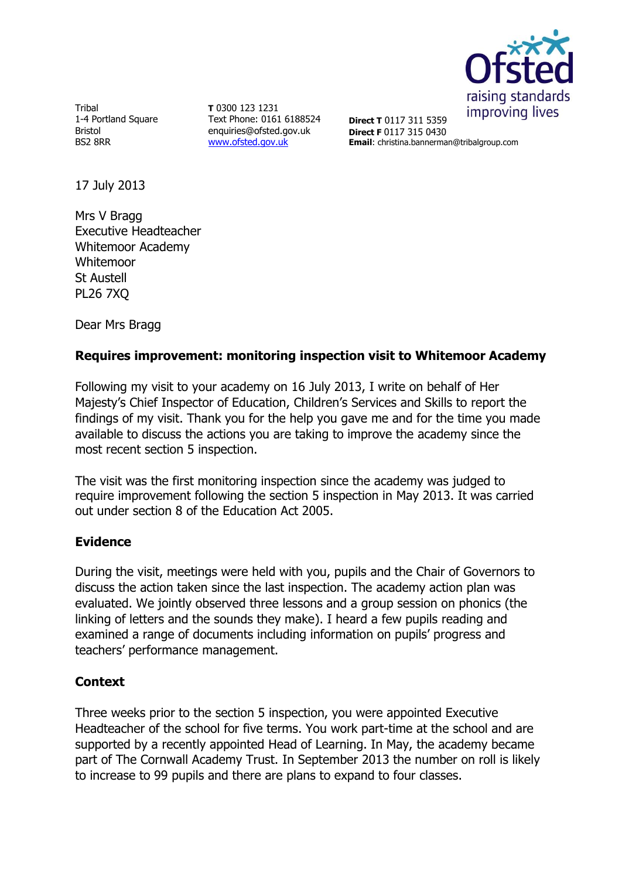

Tribal 1-4 Portland Square Bristol BS2 8RR

**T** 0300 123 1231 Text Phone: 0161 6188524 enquiries@ofsted.gov.uk [www.ofsted.gov.uk](http://www.ofsted.gov.uk/)

**Direct T** 0117 311 5359 **Direct F** 0117 315 0430 **Email**: christina.bannerman@tribalgroup.com

17 July 2013

Mrs V Bragg Executive Headteacher Whitemoor Academy Whitemoor St Austell PL26 7XQ

Dear Mrs Bragg

# **Requires improvement: monitoring inspection visit to Whitemoor Academy**

Following my visit to your academy on 16 July 2013, I write on behalf of Her Majesty's Chief Inspector of Education, Children's Services and Skills to report the findings of my visit. Thank you for the help you gave me and for the time you made available to discuss the actions you are taking to improve the academy since the most recent section 5 inspection.

The visit was the first monitoring inspection since the academy was judged to require improvement following the section 5 inspection in May 2013. It was carried out under section 8 of the Education Act 2005.

### **Evidence**

During the visit, meetings were held with you, pupils and the Chair of Governors to discuss the action taken since the last inspection. The academy action plan was evaluated. We jointly observed three lessons and a group session on phonics (the linking of letters and the sounds they make). I heard a few pupils reading and examined a range of documents including information on pupils' progress and teachers' performance management.

### **Context**

Three weeks prior to the section 5 inspection, you were appointed Executive Headteacher of the school for five terms. You work part-time at the school and are supported by a recently appointed Head of Learning. In May, the academy became part of The Cornwall Academy Trust. In September 2013 the number on roll is likely to increase to 99 pupils and there are plans to expand to four classes.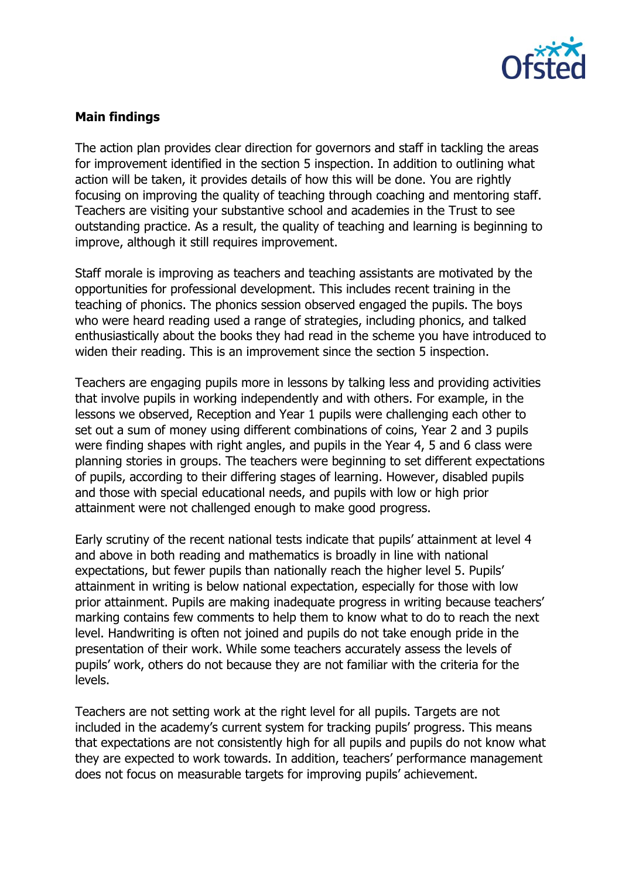

## **Main findings**

The action plan provides clear direction for governors and staff in tackling the areas for improvement identified in the section 5 inspection. In addition to outlining what action will be taken, it provides details of how this will be done. You are rightly focusing on improving the quality of teaching through coaching and mentoring staff. Teachers are visiting your substantive school and academies in the Trust to see outstanding practice. As a result, the quality of teaching and learning is beginning to improve, although it still requires improvement.

Staff morale is improving as teachers and teaching assistants are motivated by the opportunities for professional development. This includes recent training in the teaching of phonics. The phonics session observed engaged the pupils. The boys who were heard reading used a range of strategies, including phonics, and talked enthusiastically about the books they had read in the scheme you have introduced to widen their reading. This is an improvement since the section 5 inspection.

Teachers are engaging pupils more in lessons by talking less and providing activities that involve pupils in working independently and with others. For example, in the lessons we observed, Reception and Year 1 pupils were challenging each other to set out a sum of money using different combinations of coins, Year 2 and 3 pupils were finding shapes with right angles, and pupils in the Year 4, 5 and 6 class were planning stories in groups. The teachers were beginning to set different expectations of pupils, according to their differing stages of learning. However, disabled pupils and those with special educational needs, and pupils with low or high prior attainment were not challenged enough to make good progress.

Early scrutiny of the recent national tests indicate that pupils' attainment at level 4 and above in both reading and mathematics is broadly in line with national expectations, but fewer pupils than nationally reach the higher level 5. Pupils' attainment in writing is below national expectation, especially for those with low prior attainment. Pupils are making inadequate progress in writing because teachers' marking contains few comments to help them to know what to do to reach the next level. Handwriting is often not joined and pupils do not take enough pride in the presentation of their work. While some teachers accurately assess the levels of pupils' work, others do not because they are not familiar with the criteria for the levels.

Teachers are not setting work at the right level for all pupils. Targets are not included in the academy's current system for tracking pupils' progress. This means that expectations are not consistently high for all pupils and pupils do not know what they are expected to work towards. In addition, teachers' performance management does not focus on measurable targets for improving pupils' achievement.